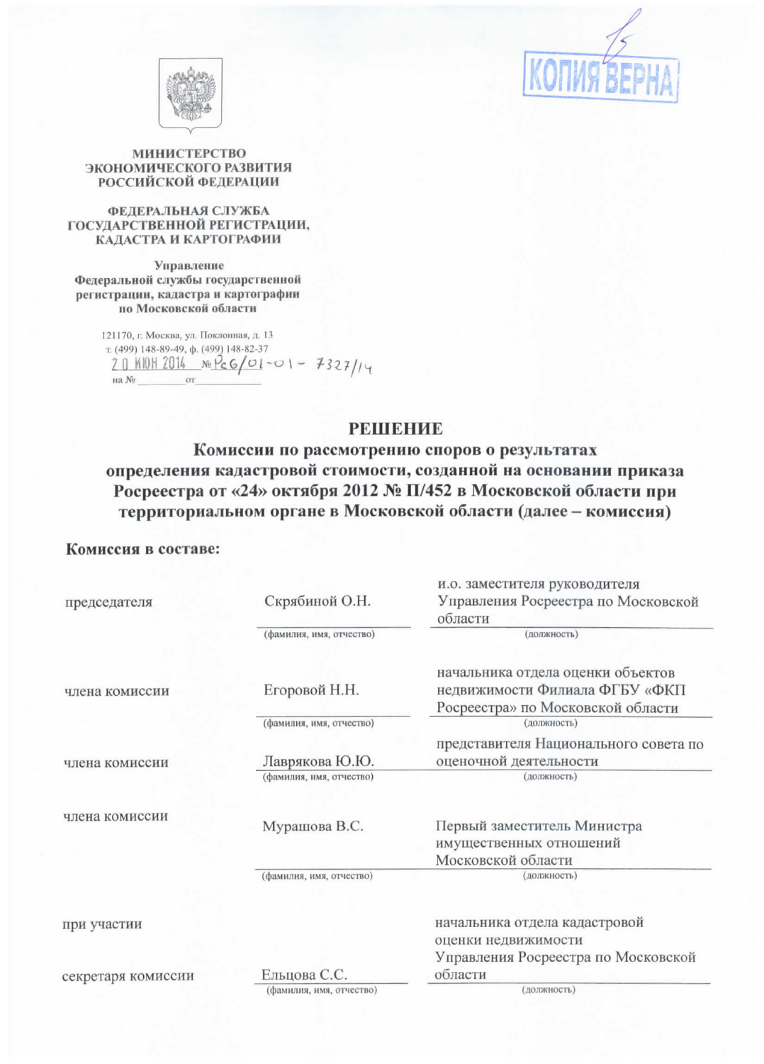



### **МИНИСТЕРСТВО** ЭКОНОМИЧЕСКОГО РАЗВИТИЯ **РОССИЙСКОЙ ФЕДЕРАЦИИ**

#### ФЕДЕРАЛЬНАЯ СЛУЖБА ГОСУДАРСТВЕННОЙ РЕГИСТРАЦИИ, КАДАСТРА И КАРТОГРАФИИ

Управление Федеральной службы государственной регистрации, кадастра и картографии по Московской области

> 121170, г. Москва, ул. Поклонная, д. 13 т. (499) 148-89-49, ф. (499) 148-82-37  $20$  KIOH 2014  $xe$  PcG/01-01 - 7327/14 на  $N_2$ **OT**

## **РЕШЕНИЕ**

# Комиссии по рассмотрению споров о результатах определения кадастровой стоимости, созданной на основании приказа Росреестра от «24» октября 2012 № П/452 в Московской области при территориальном органе в Московской области (далее - комиссия)

### Комиссия в составе:

|                    |                          | и.о. заместителя руководителя                                       |
|--------------------|--------------------------|---------------------------------------------------------------------|
| председателя       | Скрябиной О.Н.           | Управления Росреестра по Московской                                 |
|                    |                          | области                                                             |
|                    | (фамилия, имя, отчество) | (должность)                                                         |
|                    | Егоровой Н.Н.            | начальника отдела оценки объектов<br>недвижимости Филиала ФГБУ «ФКП |
| члена комиссии     |                          | Росреестра» по Московской области                                   |
|                    | (фамилия, имя, отчество) | (должность)                                                         |
|                    |                          | представителя Национального совета по                               |
| члена комиссии     | Лаврякова Ю.Ю.           | оценочной деятельности                                              |
|                    | (фамилия, имя, отчество) | (должность)                                                         |
|                    |                          |                                                                     |
| члена комиссии     | Мурашова В.С.            | Первый заместитель Министра                                         |
|                    |                          | имущественных отношений                                             |
|                    |                          | Московской области                                                  |
|                    | (фамилия, имя, отчество) | (должность)                                                         |
|                    |                          |                                                                     |
| при участии        |                          | начальника отдела кадастровой                                       |
|                    |                          | оценки недвижимости                                                 |
|                    |                          | Управления Росреестра по Московской                                 |
| секретаря комиссии | Ельцова С.С.             | области                                                             |
|                    | (фамилия, имя, отчество) | (должность)                                                         |
|                    |                          |                                                                     |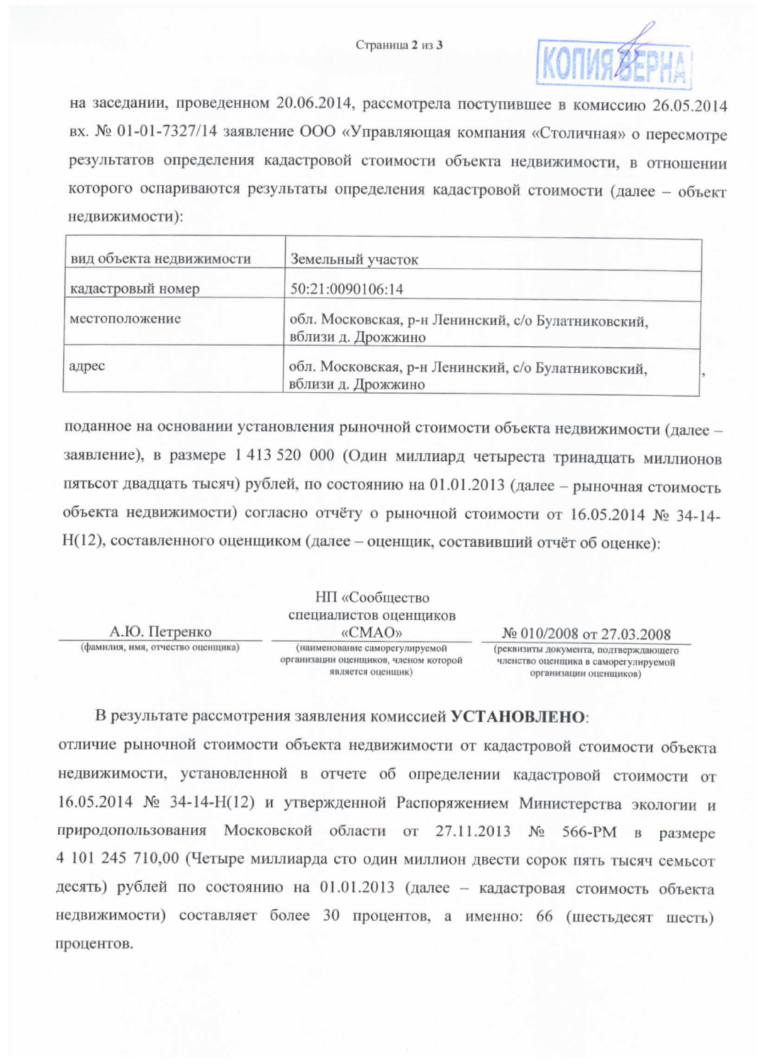

на заседании, проведенном 20.06.2014, рассмотрела поступившее в комиссию 26.05.2014 вх. № 01-01-7327/14 заявление ООО «Управляющая компания «Столичная» о пересмотре результатов определения кадастровой стоимости объекта недвижимости, в отношении которого оспариваются результаты определения кадастровой стоимости (далее - объект недвижимости):

| вид объекта недвижимости | Земельный участок                                                         |  |
|--------------------------|---------------------------------------------------------------------------|--|
| кадастровый номер        | 50:21:0090106:14                                                          |  |
| местоположение           | обл. Московская, р-н Ленинский, с/о Булатниковский,<br>вблизи д. Дрожжино |  |
| адрес                    | обл. Московская, р-н Ленинский, с/о Булатниковский,<br>вблизи д. Дрожжино |  |

поданное на основании установления рыночной стоимости объекта недвижимости (далее заявление), в размере 1 413 520 000 (Один миллиард четыреста тринадцать миллионов пятьсот двадцать тысяч) рублей, по состоянию на 01.01.2013 (далее - рыночная стоимость объекта недвижимости) согласно отчёту о рыночной стоимости от 16.05.2014 № 34-14-Н(12), составленного оценщиком (далее - оценщик, составивший отчёт об оценке):

|                                   | НП «Сообщество                                                                               |                                                                                                         |
|-----------------------------------|----------------------------------------------------------------------------------------------|---------------------------------------------------------------------------------------------------------|
|                                   | специалистов оценщиков                                                                       |                                                                                                         |
| А.Ю. Петренко                     | «CMAO»                                                                                       | $N_2$ 010/2008 or 27.03.2008                                                                            |
| (фамилия, имя, отчество оценщика) | (наименование саморегулируемой<br>организации оценщиков, членом которой<br>является оценщик) | (реквизиты документа, подтверждающего<br>членство оценщика в саморегулируемой<br>организации оценшиков) |

В результате рассмотрения заявления комиссией УСТАНОВЛЕНО: отличие рыночной стоимости объекта недвижимости от кадастровой стоимости объекта недвижимости, установленной в отчете об определении кадастровой стоимости от 16.05.2014 № 34-14-Н(12) и утвержденной Распоряжением Министерства экологии и природопользования Московской области от 27.11.2013 № 566-РМ в размере 4 101 245 710,00 (Четыре миллиарда сто один миллион двести сорок пять тысяч семьсот десять) рублей по состоянию на 01.01.2013 (далее - кадастровая стоимость объекта недвижимости) составляет более 30 процентов, а именно: 66 (шестьдесят шесть) процентов.